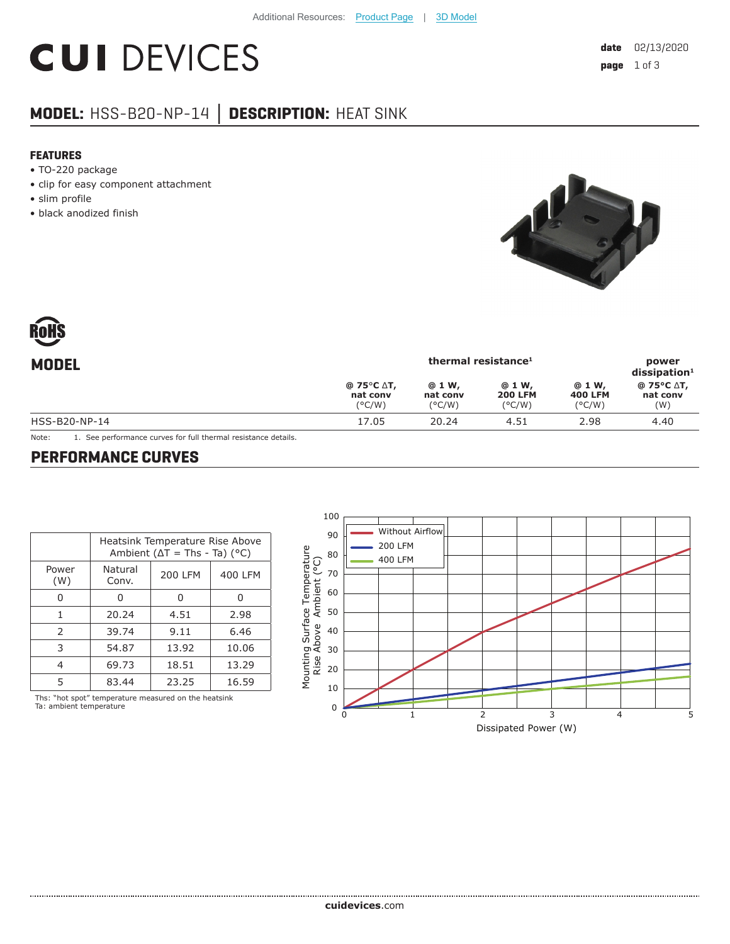# **CUI DEVICES**

## **MODEL:** HSS-B20-NP-14 **│ DESCRIPTION:** HEAT SINK

#### **FEATURES**

- TO-220 package
- clip for easy component attachment
- slim profile
- black anodized finish



| <b>MODEL</b>  | thermal resistance <sup>1</sup>                   |                                        |                                              |                                    | power<br>dissigmoid <sup>1</sup> |
|---------------|---------------------------------------------------|----------------------------------------|----------------------------------------------|------------------------------------|----------------------------------|
|               | $@75°C \Delta T,$<br>nat conv<br>$(^{\circ}$ C/W) | @ 1 W,<br>nat conv<br>$(^{\circ}$ C/W) | @ 1 W,<br><b>200 LFM</b><br>$(^{\circ}$ C/W) | @ 1 W,<br><b>400 LFM</b><br>(°C/W) | @ 75°C ∆T,<br>nat conv<br>(W)    |
| HSS-B20-NP-14 | 17.05                                             | 20.24                                  | 4.51                                         | 2.98                               | 4.40                             |

Note: 1. See performance curves for full thermal resistance details.

#### **PERFORMANCE CURVES**

| Heatsink Temperature Rise Above<br>Ambient ( $\Delta T$ = Ths - Ta) (°C) |                |         |  |  |
|--------------------------------------------------------------------------|----------------|---------|--|--|
| Natural<br>Conv.                                                         | <b>200 LFM</b> | 400 LFM |  |  |
| 0                                                                        | U              | n       |  |  |
| 20.24                                                                    | 4.51           | 2.98    |  |  |
| 39.74                                                                    | 9.11           | 6.46    |  |  |
| 54.87                                                                    | 13.92          | 10.06   |  |  |
| 69.73                                                                    | 18.51          | 13.29   |  |  |
| 83.44                                                                    | 23.25          | 16.59   |  |  |
|                                                                          |                |         |  |  |

Ths: "hot spot" temperature measured on the heatsink Ta: ambient temperature

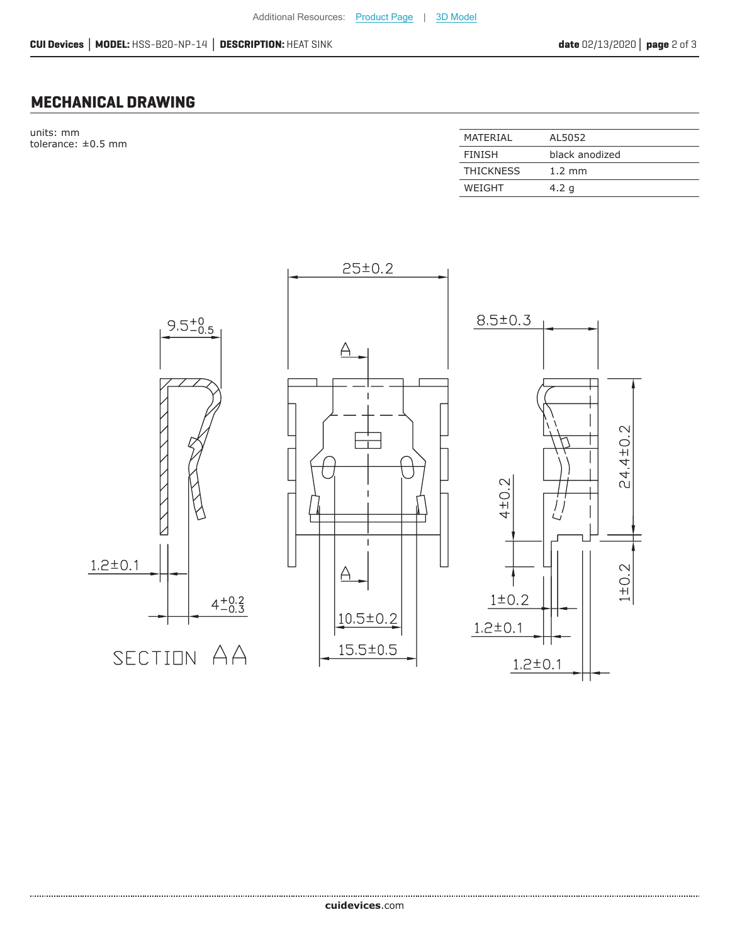### **MECHANICAL DRAWING**

units: mm  $t$ olerance:  $\pm 0.5$  mm

| MATFRIAI         | AL5052           |
|------------------|------------------|
| <b>FINISH</b>    | black anodized   |
| <b>THICKNESS</b> | $1.2 \text{ mm}$ |
| WEIGHT           | 4.2 g            |